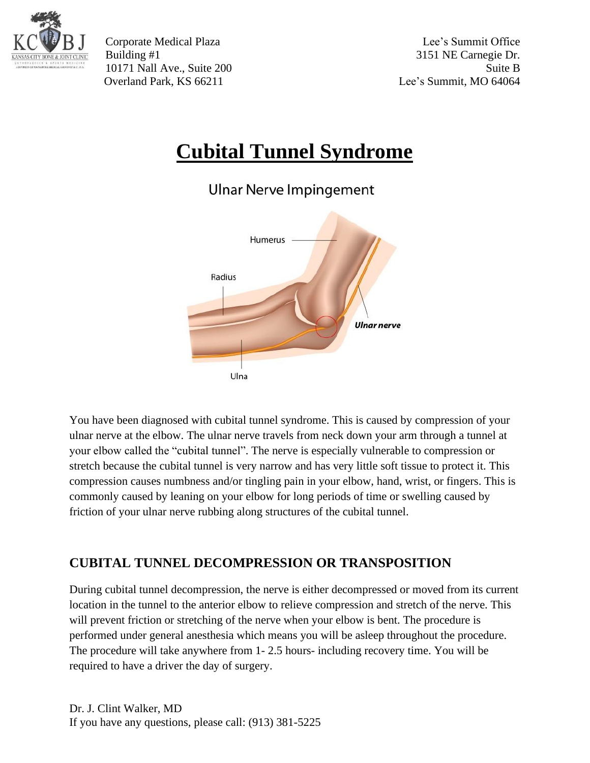

Corporate Medical Plaza Lee's Summit Office Building #1 3151 NE Carnegie Dr. 10171 Nall Ave., Suite 200 Suite B Overland Park, KS 66211 Lee's Summit, MO 64064

## **Cubital Tunnel Syndrome**

**Ulnar Nerve Impingement** 



You have been diagnosed with cubital tunnel syndrome. This is caused by compression of your ulnar nerve at the elbow. The ulnar nerve travels from neck down your arm through a tunnel at your elbow called the "cubital tunnel". The nerve is especially vulnerable to compression or stretch because the cubital tunnel is very narrow and has very little soft tissue to protect it. This compression causes numbness and/or tingling pain in your elbow, hand, wrist, or fingers. This is commonly caused by leaning on your elbow for long periods of time or swelling caused by friction of your ulnar nerve rubbing along structures of the cubital tunnel.

## **CUBITAL TUNNEL DECOMPRESSION OR TRANSPOSITION**

During cubital tunnel decompression, the nerve is either decompressed or moved from its current location in the tunnel to the anterior elbow to relieve compression and stretch of the nerve. This will prevent friction or stretching of the nerve when your elbow is bent. The procedure is performed under general anesthesia which means you will be asleep throughout the procedure. The procedure will take anywhere from 1- 2.5 hours- including recovery time. You will be required to have a driver the day of surgery.